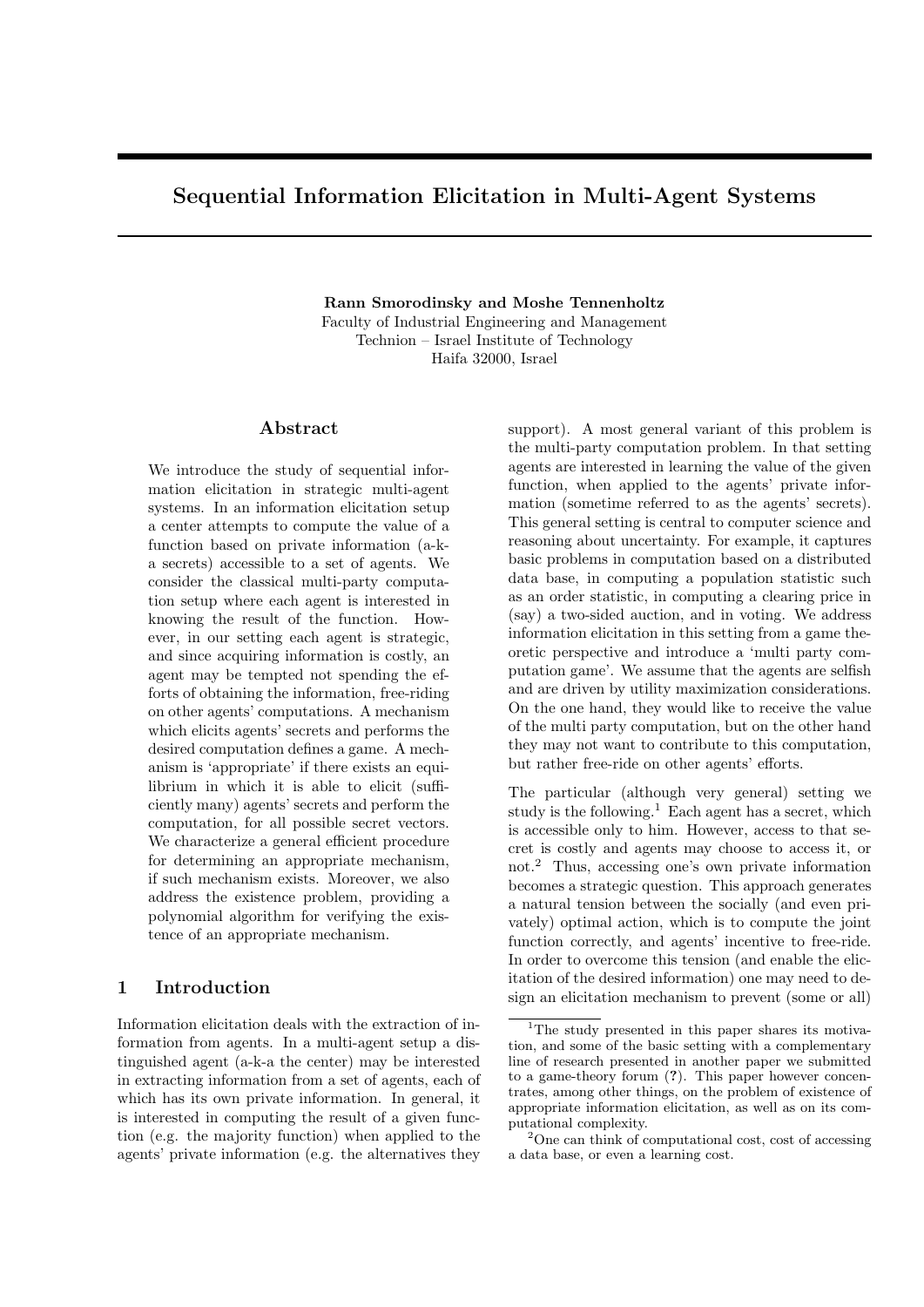# Sequential Information Elicitation in Multi-Agent Systems

Rann Smorodinsky and Moshe Tennenholtz Faculty of Industrial Engineering and Management Technion – Israel Institute of Technology Haifa 32000, Israel

## Abstract

We introduce the study of sequential information elicitation in strategic multi-agent systems. In an information elicitation setup a center attempts to compute the value of a function based on private information (a-ka secrets) accessible to a set of agents. We consider the classical multi-party computation setup where each agent is interested in knowing the result of the function. However, in our setting each agent is strategic, and since acquiring information is costly, an agent may be tempted not spending the efforts of obtaining the information, free-riding on other agents' computations. A mechanism which elicits agents' secrets and performs the desired computation defines a game. A mechanism is 'appropriate' if there exists an equilibrium in which it is able to elicit (sufficiently many) agents' secrets and perform the computation, for all possible secret vectors. We characterize a general efficient procedure for determining an appropriate mechanism, if such mechanism exists. Moreover, we also address the existence problem, providing a polynomial algorithm for verifying the existence of an appropriate mechanism.

#### 1 Introduction

Information elicitation deals with the extraction of information from agents. In a multi-agent setup a distinguished agent (a-k-a the center) may be interested in extracting information from a set of agents, each of which has its own private information. In general, it is interested in computing the result of a given function (e.g. the majority function) when applied to the agents' private information (e.g. the alternatives they

support). A most general variant of this problem is the multi-party computation problem. In that setting agents are interested in learning the value of the given function, when applied to the agents' private information (sometime referred to as the agents' secrets). This general setting is central to computer science and reasoning about uncertainty. For example, it captures basic problems in computation based on a distributed data base, in computing a population statistic such as an order statistic, in computing a clearing price in (say) a two-sided auction, and in voting. We address information elicitation in this setting from a game theoretic perspective and introduce a 'multi party computation game'. We assume that the agents are selfish and are driven by utility maximization considerations. On the one hand, they would like to receive the value of the multi party computation, but on the other hand they may not want to contribute to this computation, but rather free-ride on other agents' efforts.

The particular (although very general) setting we study is the following.<sup>1</sup> Each agent has a secret, which is accessible only to him. However, access to that secret is costly and agents may choose to access it, or not.<sup>2</sup> Thus, accessing one's own private information becomes a strategic question. This approach generates a natural tension between the socially (and even privately) optimal action, which is to compute the joint function correctly, and agents' incentive to free-ride. In order to overcome this tension (and enable the elicitation of the desired information) one may need to design an elicitation mechanism to prevent (some or all)

<sup>&</sup>lt;sup>1</sup>The study presented in this paper shares its motivation, and some of the basic setting with a complementary line of research presented in another paper we submitted to a game-theory forum (?). This paper however concentrates, among other things, on the problem of existence of appropriate information elicitation, as well as on its computational complexity.

<sup>2</sup>One can think of computational cost, cost of accessing a data base, or even a learning cost.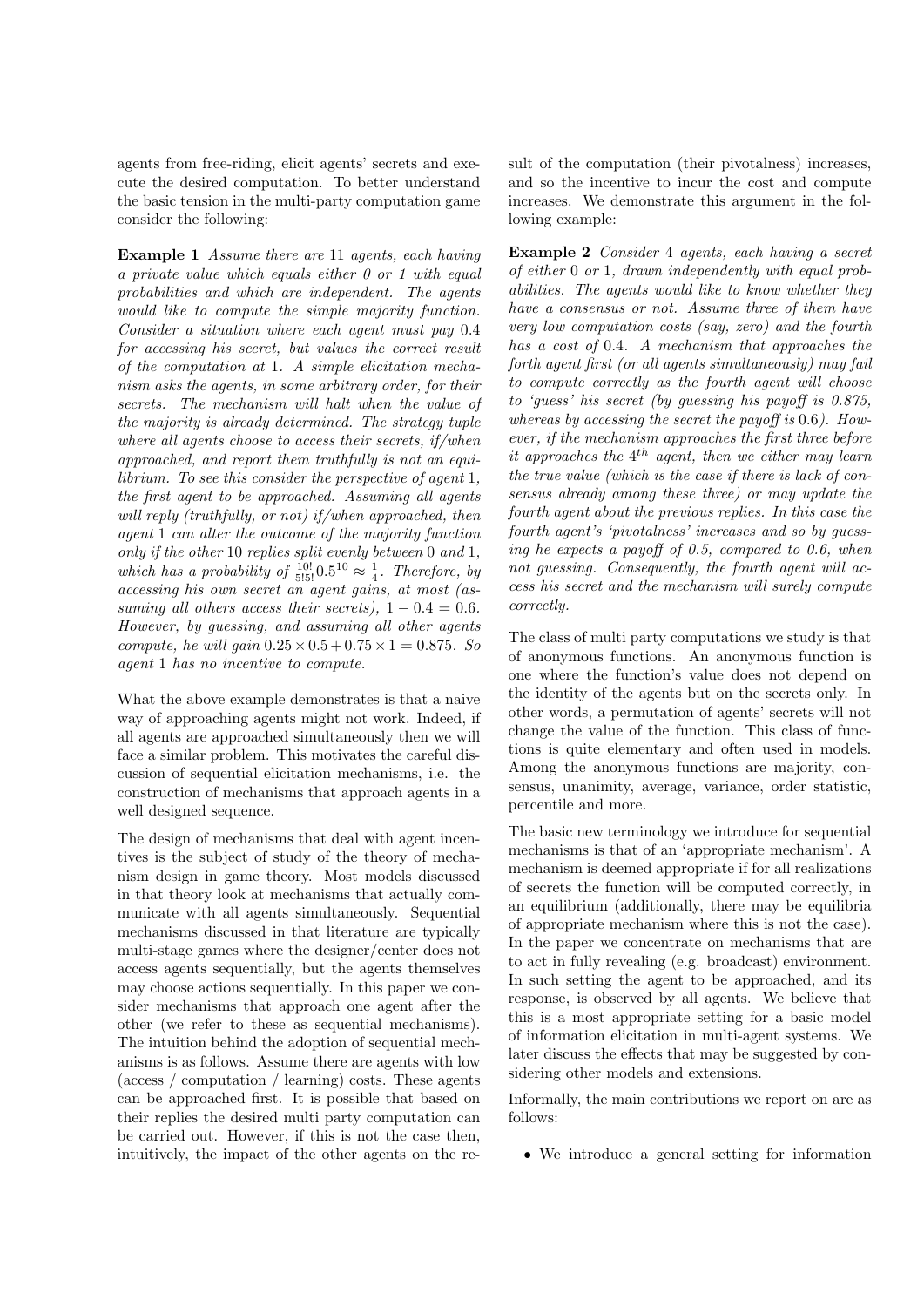agents from free-riding, elicit agents' secrets and execute the desired computation. To better understand the basic tension in the multi-party computation game consider the following:

Example 1 Assume there are 11 agents, each having a private value which equals either 0 or 1 with equal probabilities and which are independent. The agents would like to compute the simple majority function. Consider a situation where each agent must pay 0.4 for accessing his secret, but values the correct result of the computation at 1. A simple elicitation mechanism asks the agents, in some arbitrary order, for their secrets. The mechanism will halt when the value of the majority is already determined. The strategy tuple where all agents choose to access their secrets, if/when approached, and report them truthfully is not an equilibrium. To see this consider the perspective of agent 1, the first agent to be approached. Assuming all agents will reply (truthfully, or not) if/when approached, then agent 1 can alter the outcome of the majority function only if the other 10 replies split evenly between 0 and 1, which has a probability of  $\frac{10!}{5!5!}$  $0.5^{10} \approx \frac{1}{4}$ . Therefore, by accessing his own secret an agent gains, at most (assuming all others access their secrets),  $1 - 0.4 = 0.6$ . However, by guessing, and assuming all other agents compute, he will gain  $0.25 \times 0.5 + 0.75 \times 1 = 0.875$ . So agent 1 has no incentive to compute.

What the above example demonstrates is that a naive way of approaching agents might not work. Indeed, if all agents are approached simultaneously then we will face a similar problem. This motivates the careful discussion of sequential elicitation mechanisms, i.e. the construction of mechanisms that approach agents in a well designed sequence.

The design of mechanisms that deal with agent incentives is the subject of study of the theory of mechanism design in game theory. Most models discussed in that theory look at mechanisms that actually communicate with all agents simultaneously. Sequential mechanisms discussed in that literature are typically multi-stage games where the designer/center does not access agents sequentially, but the agents themselves may choose actions sequentially. In this paper we consider mechanisms that approach one agent after the other (we refer to these as sequential mechanisms). The intuition behind the adoption of sequential mechanisms is as follows. Assume there are agents with low (access / computation / learning) costs. These agents can be approached first. It is possible that based on their replies the desired multi party computation can be carried out. However, if this is not the case then, intuitively, the impact of the other agents on the re-

sult of the computation (their pivotalness) increases, and so the incentive to incur the cost and compute increases. We demonstrate this argument in the following example:

Example 2 Consider 4 agents, each having a secret of either 0 or 1, drawn independently with equal probabilities. The agents would like to know whether they have a consensus or not. Assume three of them have very low computation costs (say, zero) and the fourth has a cost of 0.4. A mechanism that approaches the forth agent first (or all agents simultaneously) may fail to compute correctly as the fourth agent will choose to 'guess' his secret (by guessing his payoff is 0.875, whereas by accessing the secret the payoff is 0.6). However, if the mechanism approaches the first three before it approaches the  $4^{th}$  agent, then we either may learn the true value (which is the case if there is lack of consensus already among these three) or may update the fourth agent about the previous replies. In this case the fourth agent's 'pivotalness' increases and so by guessing he expects a payoff of 0.5, compared to 0.6, when not guessing. Consequently, the fourth agent will access his secret and the mechanism will surely compute correctly.

The class of multi party computations we study is that of anonymous functions. An anonymous function is one where the function's value does not depend on the identity of the agents but on the secrets only. In other words, a permutation of agents' secrets will not change the value of the function. This class of functions is quite elementary and often used in models. Among the anonymous functions are majority, consensus, unanimity, average, variance, order statistic, percentile and more.

The basic new terminology we introduce for sequential mechanisms is that of an 'appropriate mechanism'. A mechanism is deemed appropriate if for all realizations of secrets the function will be computed correctly, in an equilibrium (additionally, there may be equilibria of appropriate mechanism where this is not the case). In the paper we concentrate on mechanisms that are to act in fully revealing (e.g. broadcast) environment. In such setting the agent to be approached, and its response, is observed by all agents. We believe that this is a most appropriate setting for a basic model of information elicitation in multi-agent systems. We later discuss the effects that may be suggested by considering other models and extensions.

Informally, the main contributions we report on are as follows:

• We introduce a general setting for information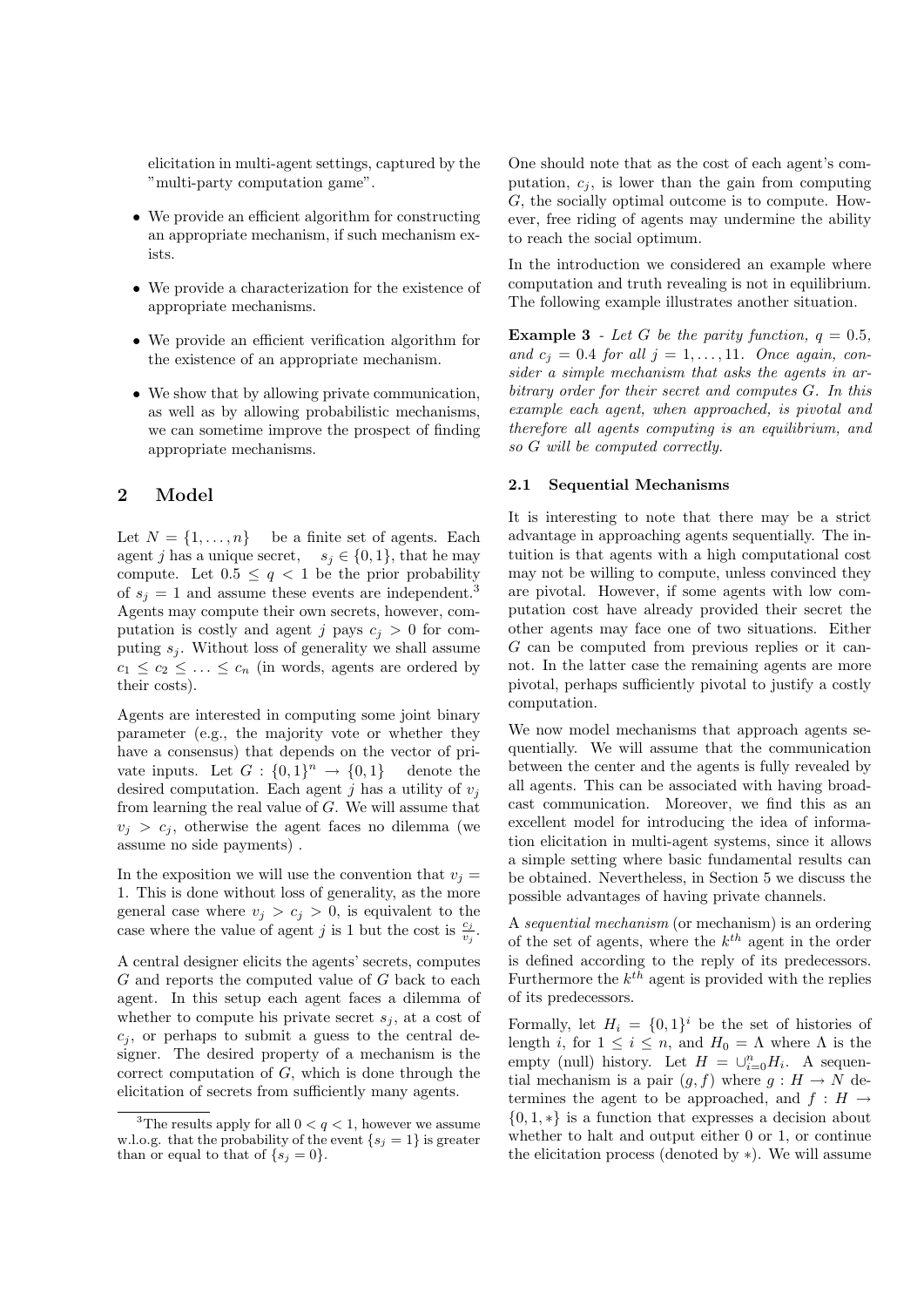elicitation in multi-agent settings, captured by the "multi-party computation game".

- We provide an efficient algorithm for constructing an appropriate mechanism, if such mechanism exists.
- We provide a characterization for the existence of appropriate mechanisms.
- We provide an efficient verification algorithm for the existence of an appropriate mechanism.
- We show that by allowing private communication, as well as by allowing probabilistic mechanisms, we can sometime improve the prospect of finding appropriate mechanisms.

## 2 Model

Let  $N = \{1, \ldots, n\}$  be a finite set of agents. Each agent j has a unique secret,  $s_j \in \{0, 1\}$ , that he may compute. Let  $0.5 \leq q < 1$  be the prior probability of  $s_j = 1$  and assume these events are independent.<sup>3</sup> Agents may compute their own secrets, however, computation is costly and agent j pays  $c_j > 0$  for computing  $s_j$ . Without loss of generality we shall assume  $c_1 \leq c_2 \leq \ldots \leq c_n$  (in words, agents are ordered by their costs).

Agents are interested in computing some joint binary parameter (e.g., the majority vote or whether they have a consensus) that depends on the vector of private inputs. Let  $G: \{0,1\}^n \to \{0,1\}$  denote the desired computation. Each agent j has a utility of  $v_j$ from learning the real value of  $G$ . We will assume that  $v_i > c_i$ , otherwise the agent faces no dilemma (we assume no side payments) .

In the exposition we will use the convention that  $v_i =$ 1. This is done without loss of generality, as the more general case where  $v_i > c_j > 0$ , is equivalent to the case where the value of agent j is 1 but the cost is  $\frac{c_j}{v_j}$ .

A central designer elicits the agents' secrets, computes G and reports the computed value of G back to each agent. In this setup each agent faces a dilemma of whether to compute his private secret  $s_i$ , at a cost of  $c_i$ , or perhaps to submit a guess to the central designer. The desired property of a mechanism is the correct computation of  $G$ , which is done through the elicitation of secrets from sufficiently many agents.

One should note that as the cost of each agent's computation,  $c_j$ , is lower than the gain from computing G, the socially optimal outcome is to compute. However, free riding of agents may undermine the ability to reach the social optimum.

In the introduction we considered an example where computation and truth revealing is not in equilibrium. The following example illustrates another situation.

**Example 3** - Let G be the parity function,  $q = 0.5$ , and  $c_j = 0.4$  for all  $j = 1, \ldots, 11$ . Once again, consider a simple mechanism that asks the agents in arbitrary order for their secret and computes G. In this example each agent, when approached, is pivotal and therefore all agents computing is an equilibrium, and so G will be computed correctly.

#### 2.1 Sequential Mechanisms

It is interesting to note that there may be a strict advantage in approaching agents sequentially. The intuition is that agents with a high computational cost may not be willing to compute, unless convinced they are pivotal. However, if some agents with low computation cost have already provided their secret the other agents may face one of two situations. Either G can be computed from previous replies or it cannot. In the latter case the remaining agents are more pivotal, perhaps sufficiently pivotal to justify a costly computation.

We now model mechanisms that approach agents sequentially. We will assume that the communication between the center and the agents is fully revealed by all agents. This can be associated with having broadcast communication. Moreover, we find this as an excellent model for introducing the idea of information elicitation in multi-agent systems, since it allows a simple setting where basic fundamental results can be obtained. Nevertheless, in Section 5 we discuss the possible advantages of having private channels.

A sequential mechanism (or mechanism) is an ordering of the set of agents, where the  $k^{th}$  agent in the order is defined according to the reply of its predecessors. Furthermore the  $k^{th}$  agent is provided with the replies of its predecessors.

Formally, let  $H_i = \{0,1\}^i$  be the set of histories of length i, for  $1 \leq i \leq n$ , and  $H_0 = \Lambda$  where  $\Lambda$  is the empty (null) history. Let  $H = \bigcup_{i=0}^{n} H_i$ . A sequential mechanism is a pair  $(g, f)$  where  $g : H \to N$  determines the agent to be approached, and  $f : H \rightarrow$ {0, 1, ∗} is a function that expresses a decision about whether to halt and output either 0 or 1, or continue the elicitation process (denoted by ∗). We will assume

<sup>&</sup>lt;sup>3</sup>The results apply for all  $0 < q < 1$ , however we assume w.l.o.g. that the probability of the event  $\{s_j = 1\}$  is greater than or equal to that of  $\{s_j = 0\}.$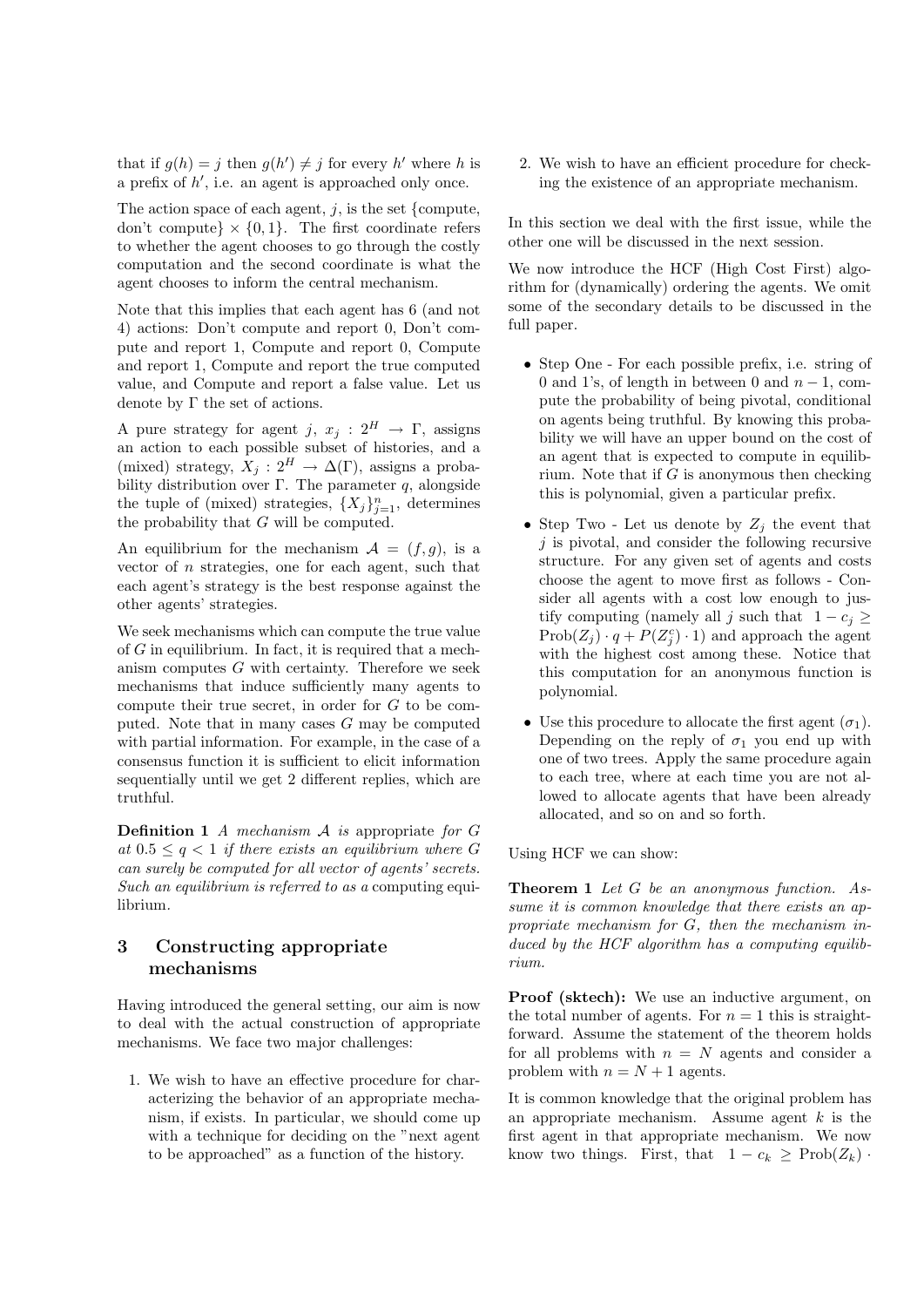that if  $g(h) = j$  then  $g(h') \neq j$  for every h' where h is a prefix of  $h'$ , i.e. an agent is approached only once.

The action space of each agent,  $j$ , is the set {compute, don't compute}  $\times$  {0,1}. The first coordinate refers to whether the agent chooses to go through the costly computation and the second coordinate is what the agent chooses to inform the central mechanism.

Note that this implies that each agent has 6 (and not 4) actions: Don't compute and report 0, Don't compute and report 1, Compute and report 0, Compute and report 1, Compute and report the true computed value, and Compute and report a false value. Let us denote by  $\Gamma$  the set of actions.

A pure strategy for agent j,  $x_j : 2^H \to \Gamma$ , assigns an action to each possible subset of histories, and a (mixed) strategy,  $X_j: 2^H \to \Delta(\Gamma)$ , assigns a probability distribution over Γ. The parameter q, alongside the tuple of (mixed) strategies,  $\{X_j\}_{j=1}^n$ , determines the probability that G will be computed.

An equilibrium for the mechanism  $\mathcal{A} = (f, g)$ , is a vector of  $n$  strategies, one for each agent, such that each agent's strategy is the best response against the other agents' strategies.

We seek mechanisms which can compute the true value of  $G$  in equilibrium. In fact, it is required that a mechanism computes  $G$  with certainty. Therefore we seek mechanisms that induce sufficiently many agents to compute their true secret, in order for G to be computed. Note that in many cases  $G$  may be computed with partial information. For example, in the case of a consensus function it is sufficient to elicit information sequentially until we get 2 different replies, which are truthful.

**Definition 1** A mechanism  $A$  is appropriate for  $G$ at  $0.5 \leq q < 1$  if there exists an equilibrium where G can surely be computed for all vector of agents' secrets. Such an equilibrium is referred to as a computing equilibrium.

# 3 Constructing appropriate mechanisms

Having introduced the general setting, our aim is now to deal with the actual construction of appropriate mechanisms. We face two major challenges:

1. We wish to have an effective procedure for characterizing the behavior of an appropriate mechanism, if exists. In particular, we should come up with a technique for deciding on the "next agent" to be approached" as a function of the history.

2. We wish to have an efficient procedure for checking the existence of an appropriate mechanism.

In this section we deal with the first issue, while the other one will be discussed in the next session.

We now introduce the HCF (High Cost First) algorithm for (dynamically) ordering the agents. We omit some of the secondary details to be discussed in the full paper.

- Step One For each possible prefix, i.e. string of 0 and 1's, of length in between 0 and  $n-1$ , compute the probability of being pivotal, conditional on agents being truthful. By knowing this probability we will have an upper bound on the cost of an agent that is expected to compute in equilibrium. Note that if  $G$  is anonymous then checking this is polynomial, given a particular prefix.
- Step Two Let us denote by  $Z_j$  the event that  $j$  is pivotal, and consider the following recursive structure. For any given set of agents and costs choose the agent to move first as follows - Consider all agents with a cost low enough to justify computing (namely all j such that  $1 - c_i \geq$  $Prob(Z_j) \cdot q + P(Z_j^c) \cdot 1)$  and approach the agent with the highest cost among these. Notice that this computation for an anonymous function is polynomial.
- Use this procedure to allocate the first agent  $(\sigma_1)$ . Depending on the reply of  $\sigma_1$  you end up with one of two trees. Apply the same procedure again to each tree, where at each time you are not allowed to allocate agents that have been already allocated, and so on and so forth.

Using HCF we can show:

Theorem 1 Let G be an anonymous function. Assume it is common knowledge that there exists an appropriate mechanism for G, then the mechanism induced by the  $HCF$  algorithm has a computing equilibrium.

Proof (sktech): We use an inductive argument, on the total number of agents. For  $n = 1$  this is straightforward. Assume the statement of the theorem holds for all problems with  $n = N$  agents and consider a problem with  $n = N + 1$  agents.

It is common knowledge that the original problem has an appropriate mechanism. Assume agent  $k$  is the first agent in that appropriate mechanism. We now know two things. First, that  $1 - c_k \geq \text{Prob}(Z_k)$ .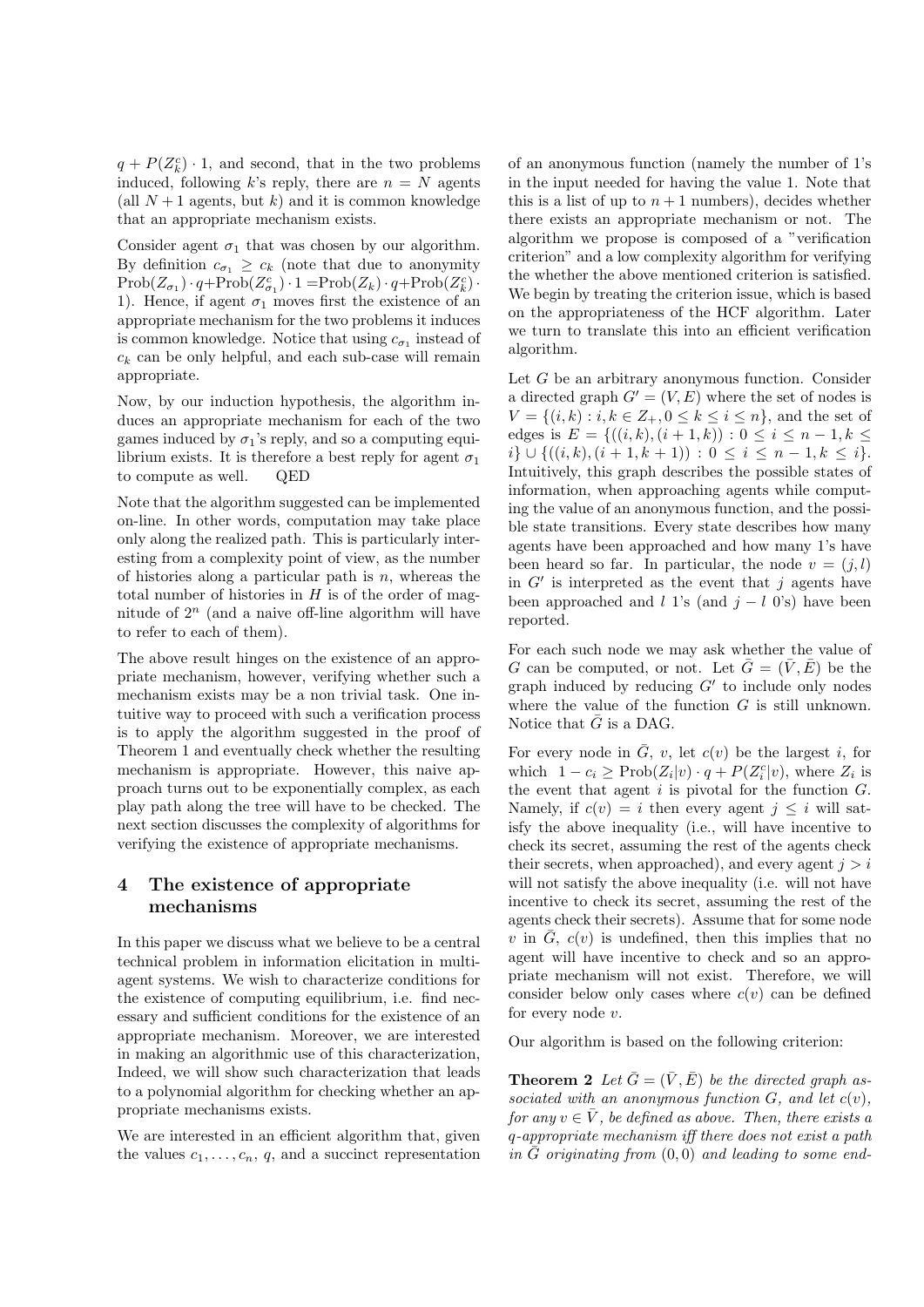$q + P(Z_k^c) \cdot 1$ , and second, that in the two problems induced, following k's reply, there are  $n = N$  agents (all  $N+1$  agents, but k) and it is common knowledge that an appropriate mechanism exists.

Consider agent  $\sigma_1$  that was chosen by our algorithm. By definition  $c_{\sigma_1} \geq c_k$  (note that due to anonymity  $\mathrm{Prob}(Z_{\sigma_1}) \cdot q + \mathrm{Prob}(Z_{\sigma_1}^c) \cdot 1 = \mathrm{Prob}(Z_k) \cdot q + \mathrm{Prob}(Z_k^c) \cdot$ 1). Hence, if agent  $\sigma_1$  moves first the existence of an appropriate mechanism for the two problems it induces is common knowledge. Notice that using  $c_{\sigma_1}$  instead of  $c_k$  can be only helpful, and each sub-case will remain appropriate.

Now, by our induction hypothesis, the algorithm induces an appropriate mechanism for each of the two games induced by  $\sigma_1$ 's reply, and so a computing equilibrium exists. It is therefore a best reply for agent  $\sigma_1$ to compute as well. QED

Note that the algorithm suggested can be implemented on-line. In other words, computation may take place only along the realized path. This is particularly interesting from a complexity point of view, as the number of histories along a particular path is  $n$ , whereas the total number of histories in  $H$  is of the order of magnitude of  $2^n$  (and a naive off-line algorithm will have to refer to each of them).

The above result hinges on the existence of an appropriate mechanism, however, verifying whether such a mechanism exists may be a non trivial task. One intuitive way to proceed with such a verification process is to apply the algorithm suggested in the proof of Theorem 1 and eventually check whether the resulting mechanism is appropriate. However, this naive approach turns out to be exponentially complex, as each play path along the tree will have to be checked. The next section discusses the complexity of algorithms for verifying the existence of appropriate mechanisms.

# 4 The existence of appropriate mechanisms

In this paper we discuss what we believe to be a central technical problem in information elicitation in multiagent systems. We wish to characterize conditions for the existence of computing equilibrium, i.e. find necessary and sufficient conditions for the existence of an appropriate mechanism. Moreover, we are interested in making an algorithmic use of this characterization, Indeed, we will show such characterization that leads to a polynomial algorithm for checking whether an appropriate mechanisms exists.

We are interested in an efficient algorithm that, given the values  $c_1, \ldots, c_n, q$ , and a succinct representation of an anonymous function (namely the number of 1's in the input needed for having the value 1. Note that this is a list of up to  $n + 1$  numbers), decides whether there exists an appropriate mechanism or not. The algorithm we propose is composed of a "verification criterion" and a low complexity algorithm for verifying the whether the above mentioned criterion is satisfied. We begin by treating the criterion issue, which is based on the appropriateness of the HCF algorithm. Later we turn to translate this into an efficient verification algorithm.

Let G be an arbitrary anonymous function. Consider a directed graph  $G' = (V, E)$  where the set of nodes is  $V = \{(i, k) : i, k \in Z_+, 0 \leq k \leq i \leq n\}$ , and the set of edges is  $E = \{((i,k),(i+1,k)) : 0 \le i \le n-1, k \le$  $i\} \cup \{((i,k),(i+1,k+1)) : 0 \leq i \leq n-1, k \leq i\}.$ Intuitively, this graph describes the possible states of information, when approaching agents while computing the value of an anonymous function, and the possible state transitions. Every state describes how many agents have been approached and how many 1's have been heard so far. In particular, the node  $v = (i, l)$ in  $G'$  is interpreted as the event that j agents have been approached and l 1's (and  $j - l$  0's) have been reported.

For each such node we may ask whether the value of G can be computed, or not. Let  $\bar{G} = (\bar{V}, \bar{E})$  be the graph induced by reducing  $G'$  to include only nodes where the value of the function  $G$  is still unknown. Notice that  $\bar{G}$  is a DAG.

For every node in  $\overline{G}$ , v, let  $c(v)$  be the largest i, for which  $1 - c_i \ge \text{Prob}(Z_i|v) \cdot q + P(Z_i^c|v)$ , where  $Z_i$  is the event that agent  $i$  is pivotal for the function  $G$ . Namely, if  $c(v) = i$  then every agent  $j \leq i$  will satisfy the above inequality (i.e., will have incentive to check its secret, assuming the rest of the agents check their secrets, when approached), and every agent  $j > i$ will not satisfy the above inequality (i.e. will not have incentive to check its secret, assuming the rest of the agents check their secrets). Assume that for some node v in  $\overline{G}$ ,  $c(v)$  is undefined, then this implies that no agent will have incentive to check and so an appropriate mechanism will not exist. Therefore, we will consider below only cases where  $c(v)$  can be defined for every node v.

Our algorithm is based on the following criterion:

**Theorem 2** Let  $\bar{G} = (\bar{V}, \bar{E})$  be the directed graph associated with an anonymous function  $G$ , and let  $c(v)$ , for any  $v \in \overline{V}$ , be defined as above. Then, there exists a q-appropriate mechanism iff there does not exist a path in  $\bar{G}$  originating from  $(0, 0)$  and leading to some end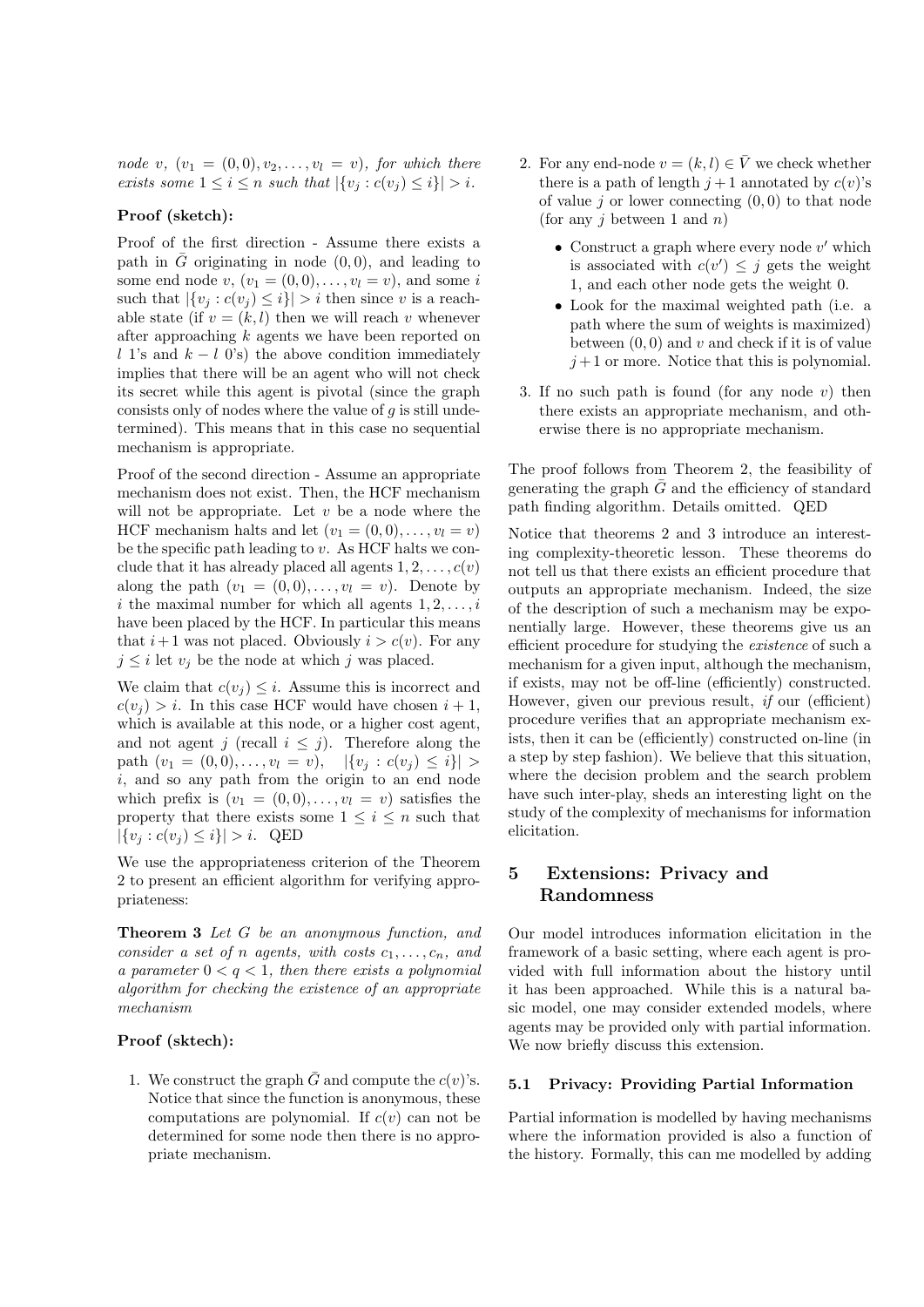node v,  $(v_1 = (0, 0), v_2, \ldots, v_l = v)$ , for which there exists some  $1 \leq i \leq n$  such that  $|\{v_i : c(v_i) \leq i\}| > i$ .

#### Proof (sketch):

Proof of the first direction - Assume there exists a path in  $\overline{G}$  originating in node (0,0), and leading to some end node  $v, (v_1 = (0, 0), \ldots, v_l = v)$ , and some i such that  $|\{v_i : c(v_i) \leq i\}| > i$  then since v is a reachable state (if  $v = (k, l)$  then we will reach v whenever after approaching k agents we have been reported on l 1's and  $k - l$  0's) the above condition immediately implies that there will be an agent who will not check its secret while this agent is pivotal (since the graph consists only of nodes where the value of  $q$  is still undetermined). This means that in this case no sequential mechanism is appropriate.

Proof of the second direction - Assume an appropriate mechanism does not exist. Then, the HCF mechanism will not be appropriate. Let  $v$  be a node where the HCF mechanism halts and let  $(v_1 = (0,0), \ldots, v_l = v)$ be the specific path leading to  $v$ . As HCF halts we conclude that it has already placed all agents  $1, 2, \ldots, c(v)$ along the path  $(v_1 = (0, 0), \ldots, v_l = v)$ . Denote by i the maximal number for which all agents  $1, 2, \ldots, i$ have been placed by the HCF. In particular this means that  $i+1$  was not placed. Obviously  $i > c(v)$ . For any  $j \leq i$  let  $v_j$  be the node at which j was placed.

We claim that  $c(v_i) \leq i$ . Assume this is incorrect and  $c(v_i) > i$ . In this case HCF would have chosen  $i + 1$ , which is available at this node, or a higher cost agent, and not agent j (recall  $i \leq j$ ). Therefore along the path  $(v_1 = (0, 0), \ldots, v_l = v), \quad |\{v_i : c(v_i) \leq i\}| >$ i, and so any path from the origin to an end node which prefix is  $(v_1 = (0, 0), \ldots, v_l = v)$  satisfies the property that there exists some  $1 \leq i \leq n$  such that  $|\{v_j : c(v_j) \leq i\}| > i.$  QED

We use the appropriateness criterion of the Theorem 2 to present an efficient algorithm for verifying appropriateness:

Theorem 3 Let G be an anonymous function, and consider a set of n agents, with costs  $c_1, \ldots, c_n$ , and a parameter  $0 < q < 1$ , then there exists a polynomial algorithm for checking the existence of an appropriate mechanism

#### Proof (sktech):

1. We construct the graph  $\bar{G}$  and compute the  $c(v)$ 's. Notice that since the function is anonymous, these computations are polynomial. If  $c(v)$  can not be determined for some node then there is no appropriate mechanism.

- 2. For any end-node  $v = (k, l) \in \overline{V}$  we check whether there is a path of length  $j+1$  annotated by  $c(v)$ 's of value  $i$  or lower connecting  $(0, 0)$  to that node (for any  $j$  between 1 and  $n$ )
	- Construct a graph where every node  $v'$  which is associated with  $c(v') \leq j$  gets the weight 1, and each other node gets the weight 0.
	- Look for the maximal weighted path (i.e. a path where the sum of weights is maximized) between  $(0, 0)$  and v and check if it is of value  $j+1$  or more. Notice that this is polynomial.
- 3. If no such path is found (for any node  $v$ ) then there exists an appropriate mechanism, and otherwise there is no appropriate mechanism.

The proof follows from Theorem 2, the feasibility of generating the graph  $\overline{G}$  and the efficiency of standard path finding algorithm. Details omitted. QED

Notice that theorems 2 and 3 introduce an interesting complexity-theoretic lesson. These theorems do not tell us that there exists an efficient procedure that outputs an appropriate mechanism. Indeed, the size of the description of such a mechanism may be exponentially large. However, these theorems give us an efficient procedure for studying the existence of such a mechanism for a given input, although the mechanism, if exists, may not be off-line (efficiently) constructed. However, given our previous result, if our (efficient) procedure verifies that an appropriate mechanism exists, then it can be (efficiently) constructed on-line (in a step by step fashion). We believe that this situation, where the decision problem and the search problem have such inter-play, sheds an interesting light on the study of the complexity of mechanisms for information elicitation.

# 5 Extensions: Privacy and Randomness

Our model introduces information elicitation in the framework of a basic setting, where each agent is provided with full information about the history until it has been approached. While this is a natural basic model, one may consider extended models, where agents may be provided only with partial information. We now briefly discuss this extension.

#### 5.1 Privacy: Providing Partial Information

Partial information is modelled by having mechanisms where the information provided is also a function of the history. Formally, this can me modelled by adding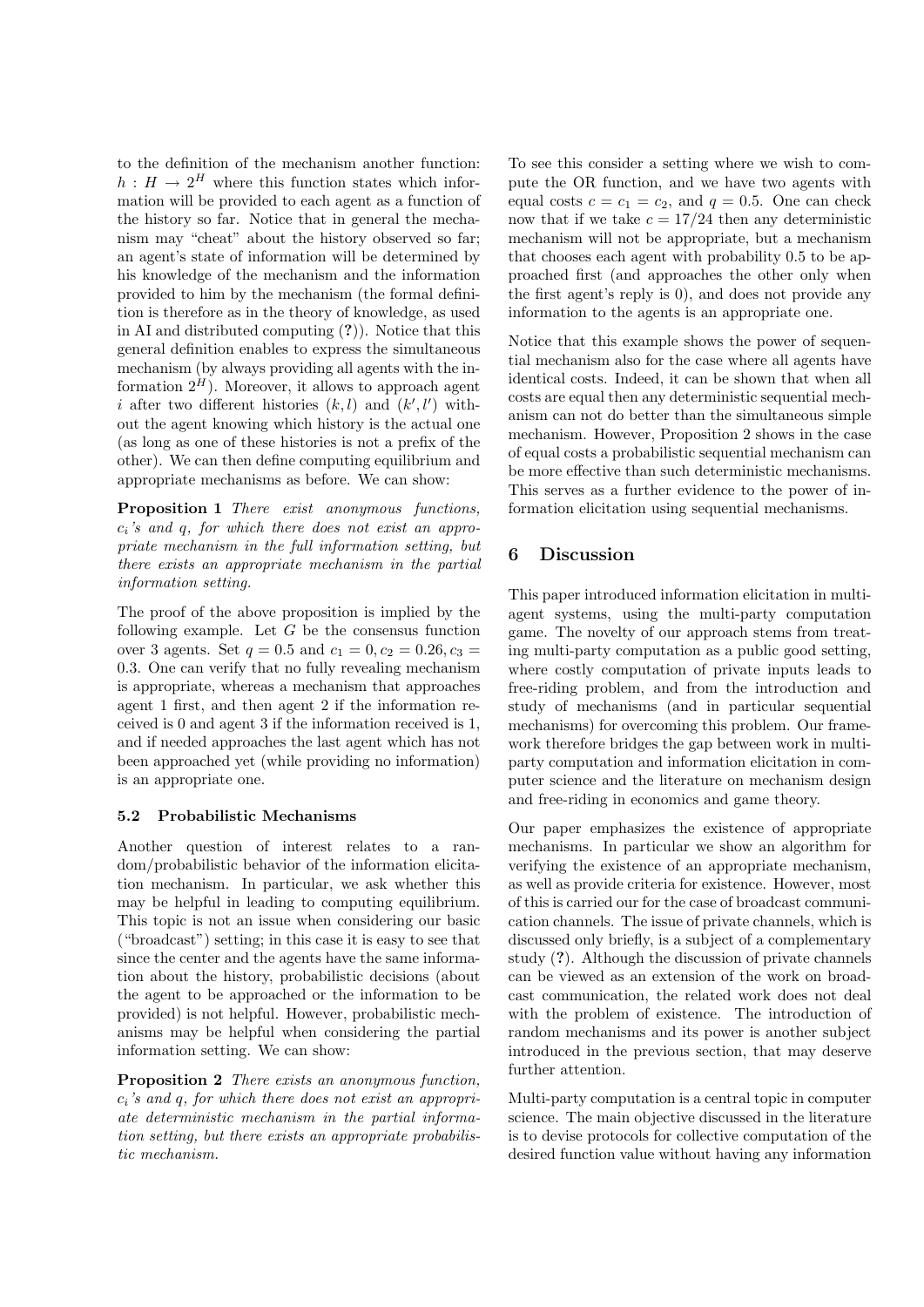to the definition of the mechanism another function:  $h: H \to 2^H$  where this function states which information will be provided to each agent as a function of the history so far. Notice that in general the mechanism may "cheat" about the history observed so far; an agent's state of information will be determined by his knowledge of the mechanism and the information provided to him by the mechanism (the formal definition is therefore as in the theory of knowledge, as used in AI and distributed computing (?)). Notice that this general definition enables to express the simultaneous mechanism (by always providing all agents with the information  $2^H$ ). Moreover, it allows to approach agent i after two different histories  $(k, l)$  and  $(k', l')$  without the agent knowing which history is the actual one (as long as one of these histories is not a prefix of the other). We can then define computing equilibrium and appropriate mechanisms as before. We can show:

Proposition 1 There exist anonymous functions,  $c_i$ 's and q, for which there does not exist an appropriate mechanism in the full information setting, but there exists an appropriate mechanism in the partial information setting.

The proof of the above proposition is implied by the following example. Let  $G$  be the consensus function over 3 agents. Set  $q = 0.5$  and  $c_1 = 0, c_2 = 0.26, c_3 =$ 0.3. One can verify that no fully revealing mechanism is appropriate, whereas a mechanism that approaches agent 1 first, and then agent 2 if the information received is 0 and agent 3 if the information received is 1, and if needed approaches the last agent which has not been approached yet (while providing no information) is an appropriate one.

#### 5.2 Probabilistic Mechanisms

Another question of interest relates to a random/probabilistic behavior of the information elicitation mechanism. In particular, we ask whether this may be helpful in leading to computing equilibrium. This topic is not an issue when considering our basic ("broadcast") setting; in this case it is easy to see that since the center and the agents have the same information about the history, probabilistic decisions (about the agent to be approached or the information to be provided) is not helpful. However, probabilistic mechanisms may be helpful when considering the partial information setting. We can show:

Proposition 2 There exists an anonymous function,  $c_i$ 's and q, for which there does not exist an appropriate deterministic mechanism in the partial information setting, but there exists an appropriate probabilistic mechanism.

To see this consider a setting where we wish to compute the OR function, and we have two agents with equal costs  $c = c_1 = c_2$ , and  $q = 0.5$ . One can check now that if we take  $c = \frac{17}{24}$  then any deterministic mechanism will not be appropriate, but a mechanism that chooses each agent with probability 0.5 to be approached first (and approaches the other only when the first agent's reply is 0), and does not provide any information to the agents is an appropriate one.

Notice that this example shows the power of sequential mechanism also for the case where all agents have identical costs. Indeed, it can be shown that when all costs are equal then any deterministic sequential mechanism can not do better than the simultaneous simple mechanism. However, Proposition 2 shows in the case of equal costs a probabilistic sequential mechanism can be more effective than such deterministic mechanisms. This serves as a further evidence to the power of information elicitation using sequential mechanisms.

# 6 Discussion

This paper introduced information elicitation in multiagent systems, using the multi-party computation game. The novelty of our approach stems from treating multi-party computation as a public good setting, where costly computation of private inputs leads to free-riding problem, and from the introduction and study of mechanisms (and in particular sequential mechanisms) for overcoming this problem. Our framework therefore bridges the gap between work in multiparty computation and information elicitation in computer science and the literature on mechanism design and free-riding in economics and game theory.

Our paper emphasizes the existence of appropriate mechanisms. In particular we show an algorithm for verifying the existence of an appropriate mechanism, as well as provide criteria for existence. However, most of this is carried our for the case of broadcast communication channels. The issue of private channels, which is discussed only briefly, is a subject of a complementary study (?). Although the discussion of private channels can be viewed as an extension of the work on broadcast communication, the related work does not deal with the problem of existence. The introduction of random mechanisms and its power is another subject introduced in the previous section, that may deserve further attention.

Multi-party computation is a central topic in computer science. The main objective discussed in the literature is to devise protocols for collective computation of the desired function value without having any information